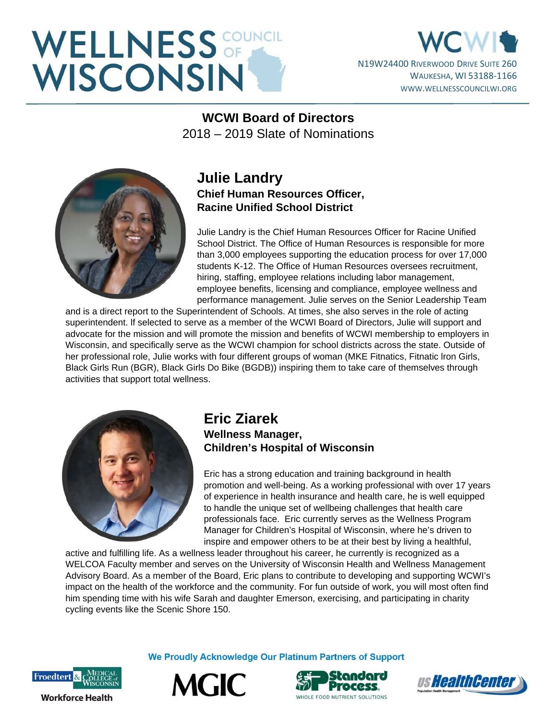# WELLNESS OF THE WISCONSIN

### N19W24400 RIVERWOOD DRIVE SUITE 260 WAUKESHA, WI 53188-1166 WWW.WELLNESSCOUNCILWI.ORG

**WCWI Board of Directors**  2018 – 2019 Slate of Nominations



#### **Julie Landry Chief Human Resources Officer, Racine Unified School District**

Julie Landry is the Chief Human Resources Officer for Racine Unified School District. The Office of Human Resources is responsible for more than 3,000 employees supporting the education process for over 17,000 students K-12. The Office of Human Resources oversees recruitment, hiring, staffing, employee relations including labor management, employee benefits, licensing and compliance, employee wellness and performance management. Julie serves on the Senior Leadership Team

and is a direct report to the Superintendent of Schools. At times, she also serves in the role of acting superintendent. lf selected to serve as a member of the WCWI Board of Directors, Julie will support and advocate for the mission and will promote the mission and benefits of WCWI membership to employers in Wisconsin, and specifically serve as the WCWI champion for school districts across the state. Outside of her professional role, Julie works with four different groups of woman (MKE Fitnatics, Fitnatic Iron Girls, Black Girls Run (BGR), Black Girls Do Bike (BGDB)) inspiring them to take care of themselves through activities that support total wellness.



#### **Eric Ziarek Wellness Manager, Children's Hospital of Wisconsin**

Eric has a strong education and training background in health promotion and well-being. As a working professional with over 17 years of experience in health insurance and health care, he is well equipped to handle the unique set of wellbeing challenges that health care professionals face. Eric currently serves as the Wellness Program Manager for Children's Hospital of Wisconsin, where he's driven to inspire and empower others to be at their best by living a healthful,

active and fulfilling life. As a wellness leader throughout his career, he currently is recognized as a WELCOA Faculty member and serves on the University of Wisconsin Health and Wellness Management Advisory Board. As a member of the Board, Eric plans to contribute to developing and supporting WCWI's impact on the health of the workforce and the community. For fun outside of work, you will most often find him spending time with his wife Sarah and daughter Emerson, exercising, and participating in charity cycling events like the Scenic Shore 150.



We Proudly Acknowledge Our Platinum Partners of Support